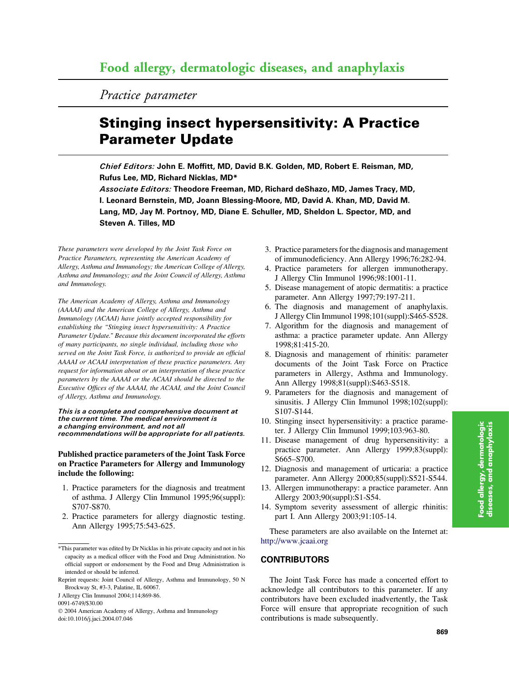Practice parameter

# Stinging insect hypersensitivity: A Practice Parameter Update

Chief Editors: John E. Moffitt, MD, David B.K. Golden, MD, Robert E. Reisman, MD, Rufus Lee, MD, Richard Nicklas, MD\*

Associate Editors: Theodore Freeman, MD, Richard deShazo, MD, James Tracy, MD, I. Leonard Bernstein, MD, Joann Blessing-Moore, MD, David A. Khan, MD, David M. Lang, MD, Jay M. Portnoy, MD, Diane E. Schuller, MD, Sheldon L. Spector, MD, and Steven A. Tilles, MD

These parameters were developed by the Joint Task Force on Practice Parameters, representing the American Academy of Allergy, Asthma and Immunology; the American College of Allergy, Asthma and Immunology; and the Joint Council of Allergy, Asthma and Immunology.

The American Academy of Allergy, Asthma and Immunology (AAAAI) and the American College of Allergy, Asthma and Immunology (ACAAI) have jointly accepted responsibility for establishing the ''Stinging insect hypersensitivity: A Practice Parameter Update.'' Because this document incorporated the efforts of many participants, no single individual, including those who served on the Joint Task Force, is authorized to provide an official AAAAI or ACAAI interpretation of these practice parameters. Any request for information about or an interpretation of these practice parameters by the AAAAI or the ACAAI should be directed to the Executive Offices of the AAAAI, the ACAAI, and the Joint Council of Allergy, Asthma and Immunology.

This is a complete and comprehensive document at the current time. The medical environment is a changing environment, and not all recommendations will be appropriate for all patients.

## Published practice parameters of the Joint Task Force on Practice Parameters for Allergy and Immunology include the following:

- 1. Practice parameters for the diagnosis and treatment of asthma. J Allergy Clin Immunol 1995;96(suppl): S707-S870.
- 2. Practice parameters for allergy diagnostic testing. Ann Allergy 1995;75:543-625.
- 3. Practice parameters for the diagnosis and management of immunodeficiency. Ann Allergy 1996;76:282-94.
- 4. Practice parameters for allergen immunotherapy. J Allergy Clin Immunol 1996;98:1001-11.
- 5. Disease management of atopic dermatitis: a practice parameter. Ann Allergy 1997;79:197-211.
- 6. The diagnosis and management of anaphylaxis. J Allergy Clin Immunol 1998;101(suppl):S465-S528.
- 7. Algorithm for the diagnosis and management of asthma: a practice parameter update. Ann Allergy 1998;81:415-20.
- 8. Diagnosis and management of rhinitis: parameter documents of the Joint Task Force on Practice parameters in Allergy, Asthma and Immunology. Ann Allergy 1998;81(suppl):S463-S518.
- 9. Parameters for the diagnosis and management of sinusitis. J Allergy Clin Immunol 1998;102(suppl): S107-S144.
- 10. Stinging insect hypersensitivity: a practice parameter. J Allergy Clin Immunol 1999;103:963-80.
- 11. Disease management of drug hypersensitivity: a practice parameter. Ann Allergy 1999;83(suppl): S665–S700.
- 12. Diagnosis and management of urticaria: a practice parameter. Ann Allergy 2000;85(suppl):S521-S544.
- 13. Allergen immunotherapy: a practice parameter. Ann Allergy 2003;90(suppl):S1-S54.
- 14. Symptom severity assessment of allergic rhinitis: part I. Ann Allergy 2003;91:105-14.

These parameters are also available on the Internet at: <http://www.jcaai.org>

## **CONTRIBUTORS**

The Joint Task Force has made a concerted effort to acknowledge all contributors to this parameter. If any contributors have been excluded inadvertently, the Task Force will ensure that appropriate recognition of such contributions is made subsequently.

<sup>\*</sup>This parameter was edited by Dr Nicklas in his private capacity and not in his capacity as a medical officer with the Food and Drug Administration. No official support or endorsement by the Food and Drug Administration is intended or should be inferred.

Reprint requests: Joint Council of Allergy, Asthma and Immunology, 50 N Brockway St, #3-3, Palatine, IL 60067.

J Allergy Clin Immunol 2004;114;869-86.

<sup>0091-6749/\$30.00</sup>

2004 American Academy of Allergy, Asthma and Immunology doi:10.1016/j.jaci.2004.07.046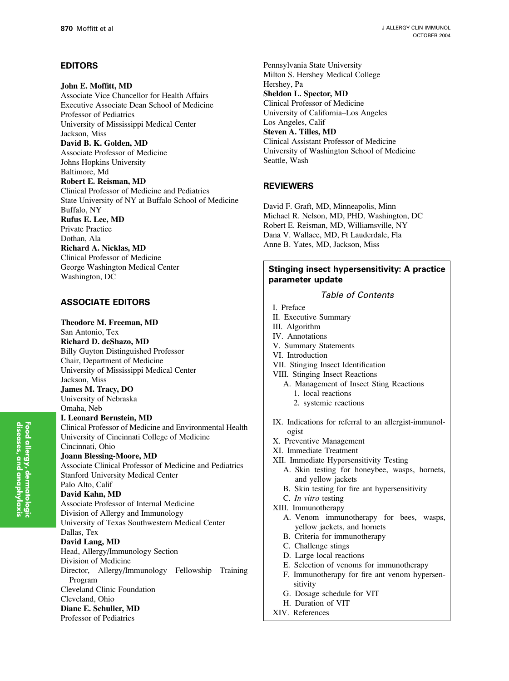# EDITORS

John E. Moffitt, MD Associate Vice Chancellor for Health Affairs Executive Associate Dean School of Medicine Professor of Pediatrics University of Mississippi Medical Center Jackson, Miss David B. K. Golden, MD Associate Professor of Medicine Johns Hopkins University Baltimore, Md Robert E. Reisman, MD Clinical Professor of Medicine and Pediatrics State University of NY at Buffalo School of Medicine Buffalo, NY Rufus E. Lee, MD Private Practice Dothan, Ala Richard A. Nicklas, MD Clinical Professor of Medicine George Washington Medical Center Washington, DC ASSOCIATE EDITORS Theodore M. Freeman, MD San Antonio, Tex Richard D. deShazo, MD Billy Guyton Distinguished Professor

Chair, Department of Medicine University of Mississippi Medical Center Jackson, Miss

James M. Tracy, DO University of Nebraska Omaha, Neb

I. Leonard Bernstein, MD Clinical Professor of Medicine and Environmental Health University of Cincinnati College of Medicine Cincinnati, Ohio Joann Blessing-Moore, MD Associate Clinical Professor of Medicine and Pediatrics Stanford University Medical Center Palo Alto, Calif David Kahn, MD Associate Professor of Internal Medicine Division of Allergy and Immunology University of Texas Southwestern Medical Center Dallas, Tex David Lang, MD Head, Allergy/Immunology Section Division of Medicine Director, Allergy/Immunology Fellowship Training Program Cleveland Clinic Foundation Cleveland, Ohio Diane E. Schuller, MD Professor of Pediatrics

Pennsylvania State University Milton S. Hershey Medical College Hershey, Pa Sheldon L. Spector, MD Clinical Professor of Medicine University of California–Los Angeles Los Angeles, Calif Steven A. Tilles, MD Clinical Assistant Professor of Medicine University of Washington School of Medicine Seattle, Wash

# REVIEWERS

David F. Graft, MD, Minneapolis, Minn Michael R. Nelson, MD, PHD, Washington, DC Robert E. Reisman, MD, Williamsville, NY Dana V. Wallace, MD, Ft Lauderdale, Fla Anne B. Yates, MD, Jackson, Miss

# Stinging insect hypersensitivity: A practice parameter update

Table of Contents

- I. Preface
- II. Executive Summary
- III. Algorithm
- IV. Annotations
- V. Summary Statements
- VI. Introduction
- VII. Stinging Insect Identification
- VIII. Stinging Insect Reactions
	- A. Management of Insect Sting Reactions 1. local reactions
		- 2. systemic reactions
- IX. Indications for referral to an allergist-immunologist
- X. Preventive Management
- XI. Immediate Treatment
- XII. Immediate Hypersensitivity Testing
	- A. Skin testing for honeybee, wasps, hornets, and yellow jackets
	- B. Skin testing for fire ant hypersensitivity
- C. In vitro testing
- XIII. Immunotherapy
	- A. Venom immunotherapy for bees, wasps, yellow jackets, and hornets
	- B. Criteria for immunotherapy
	- C. Challenge stings
	- D. Large local reactions
	- E. Selection of venoms for immunotherapy
	- F. Immunotherapy for fire ant venom hypersensitivity
	- G. Dosage schedule for VIT
	- H. Duration of VIT
- XIV. References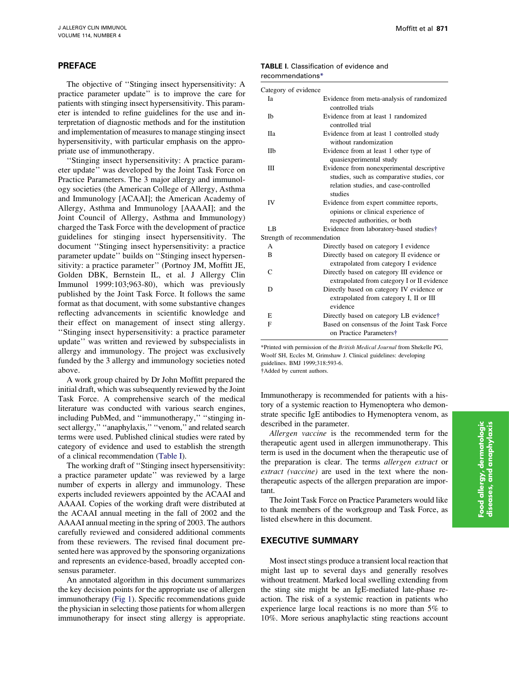## PREFACE

The objective of ''Stinging insect hypersensitivity: A practice parameter update'' is to improve the care for patients with stinging insect hypersensitivity. This parameter is intended to refine guidelines for the use and interpretation of diagnostic methods and for the institution and implementation of measures to manage stinging insect hypersensitivity, with particular emphasis on the appropriate use of immunotherapy.

''Stinging insect hypersensitivity: A practice parameter update'' was developed by the Joint Task Force on Practice Parameters. The 3 major allergy and immunology societies (the American College of Allergy, Asthma and Immunology [ACAAI]; the American Academy of Allergy, Asthma and Immunology [AAAAI]; and the Joint Council of Allergy, Asthma and Immunology) charged the Task Force with the development of practice guidelines for stinging insect hypersensitivity. The document ''Stinging insect hypersensitivity: a practice parameter update'' builds on ''Stinging insect hypersensitivity: a practice parameter'' (Portnoy JM, Moffitt JE, Golden DBK, Bernstein IL, et al. J Allergy Clin Immunol 1999:103;963-80), which was previously published by the Joint Task Force. It follows the same format as that document, with some substantive changes reflecting advancements in scientific knowledge and their effect on management of insect sting allergy. ''Stinging insect hypersensitivity: a practice parameter update'' was written and reviewed by subspecialists in allergy and immunology. The project was exclusively funded by the 3 allergy and immunology societies noted above.

A work group chaired by Dr John Moffitt prepared the initial draft, which was subsequently reviewed by the Joint Task Force. A comprehensive search of the medical literature was conducted with various search engines, including PubMed, and ''immunotherapy,'' ''stinging insect allergy," "anaphylaxis," "venom," and related search terms were used. Published clinical studies were rated by category of evidence and used to establish the strength of a clinical recommendation (Table I).

The working draft of ''Stinging insect hypersensitivity: a practice parameter update'' was reviewed by a large number of experts in allergy and immunology. These experts included reviewers appointed by the ACAAI and AAAAI. Copies of the working draft were distributed at the ACAAI annual meeting in the fall of 2002 and the AAAAI annual meeting in the spring of 2003. The authors carefully reviewed and considered additional comments from these reviewers. The revised final document presented here was approved by the sponsoring organizations and represents an evidence-based, broadly accepted consensus parameter.

An annotated algorithm in this document summarizes the key decision points for the appropriate use of allergen immunotherapy ([Fig 1](#page-3-0)). Specific recommendations guide the physician in selecting those patients for whom allergen immunotherapy for insect sting allergy is appropriate.

## TABLE I. Classification of evidence and recommendations\*

| Category of evidence  |                                                                                                                                            |
|-----------------------|--------------------------------------------------------------------------------------------------------------------------------------------|
| Iа                    | Evidence from meta-analysis of randomized<br>controlled trials                                                                             |
| <b>Ib</b>             | Evidence from at least 1 randomized<br>controlled trial                                                                                    |
| <b>H</b> <sub>a</sub> | Evidence from at least 1 controlled study<br>without randomization                                                                         |
| <b>IIb</b>            | Evidence from at least 1 other type of<br>quasiexperimental study                                                                          |
| Ш                     | Evidence from nonexperimental descriptive<br>studies, such as comparative studies, cor<br>relation studies, and case-controlled<br>studies |
| IV                    | Evidence from expert committee reports,<br>opinions or clinical experience of<br>respected authorities, or both                            |
| LB                    | Evidence from laboratory-based studies†                                                                                                    |
|                       | Strength of recommendation                                                                                                                 |
| A                     | Directly based on category I evidence                                                                                                      |
| B                     | Directly based on category II evidence or<br>extrapolated from category I evidence                                                         |
| C                     | Directly based on category III evidence or<br>extrapolated from category I or II evidence                                                  |
| D                     | Directly based on category IV evidence or<br>extrapolated from category I, II or III<br>evidence                                           |
| E                     | Directly based on category LB evidence†                                                                                                    |
| F                     | Based on consensus of the Joint Task Force<br>on Practice Parameters†                                                                      |

\*Printed with permission of the British Medical Journal from Shekelle PG, Woolf SH, Eccles M, Grimshaw J. Clinical guidelines: developing guidelines. BMJ 1999;318:593-6. Added by current authors.

Immunotherapy is recommended for patients with a history of a systemic reaction to Hymenoptera who demonstrate specific IgE antibodies to Hymenoptera venom, as described in the parameter.

Allergen vaccine is the recommended term for the therapeutic agent used in allergen immunotherapy. This term is used in the document when the therapeutic use of the preparation is clear. The terms allergen extract or extract (vaccine) are used in the text where the nontherapeutic aspects of the allergen preparation are important.

The Joint Task Force on Practice Parameters would like to thank members of the workgroup and Task Force, as listed elsewhere in this document.

## EXECUTIVE SUMMARY

Most insect stings produce a transient local reaction that might last up to several days and generally resolves without treatment. Marked local swelling extending from the sting site might be an IgE-mediated late-phase reaction. The risk of a systemic reaction in patients who experience large local reactions is no more than 5% to 10%. More serious anaphylactic sting reactions account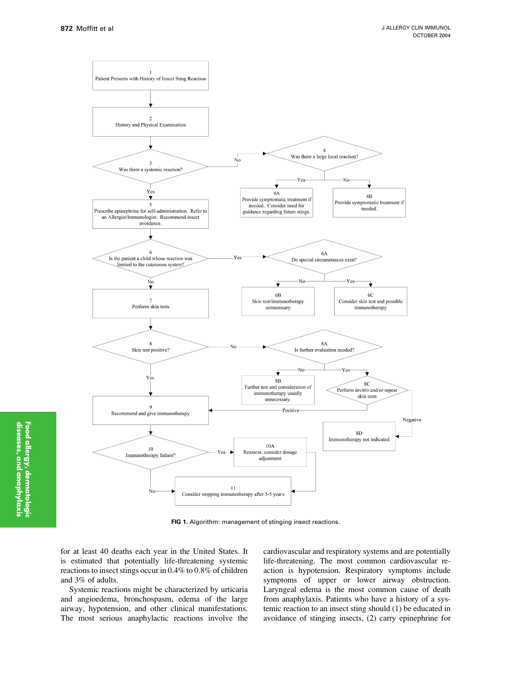<span id="page-3-0"></span>

FIG 1. Algorithm: management of stinging insect reactions.

for at least 40 deaths each year in the United States. It is estimated that potentially life-threatening systemic reactions to insect stings occur in 0.4% to 0.8% of children and 3% of adults.

Systemic reactions might be characterized by urticaria and angioedema, bronchospasm, edema of the large airway, hypotension, and other clinical manifestations. The most serious anaphylactic reactions involve the cardiovascular and respiratory systems and are potentially life-threatening. The most common cardiovascular reaction is hypotension. Respiratory symptoms include symptoms of upper or lower airway obstruction. Laryngeal edema is the most common cause of death from anaphylaxis. Patients who have a history of a systemic reaction to an insect sting should (1) be educated in avoidance of stinging insects, (2) carry epinephrine for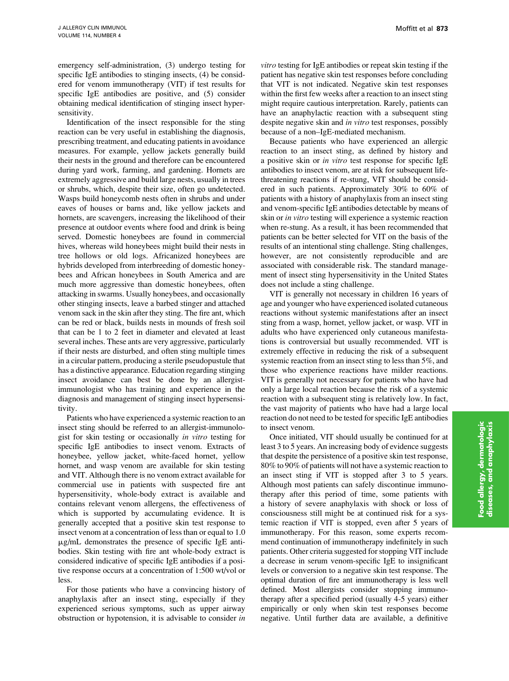emergency self-administration, (3) undergo testing for specific IgE antibodies to stinging insects, (4) be considered for venom immunotherapy (VIT) if test results for specific IgE antibodies are positive, and (5) consider obtaining medical identification of stinging insect hypersensitivity.

Identification of the insect responsible for the sting reaction can be very useful in establishing the diagnosis, prescribing treatment, and educating patients in avoidance measures. For example, yellow jackets generally build their nests in the ground and therefore can be encountered during yard work, farming, and gardening. Hornets are extremely aggressive and build large nests, usually in trees or shrubs, which, despite their size, often go undetected. Wasps build honeycomb nests often in shrubs and under eaves of houses or barns and, like yellow jackets and hornets, are scavengers, increasing the likelihood of their presence at outdoor events where food and drink is being served. Domestic honeybees are found in commercial hives, whereas wild honeybees might build their nests in tree hollows or old logs. Africanized honeybees are hybrids developed from interbreeding of domestic honeybees and African honeybees in South America and are much more aggressive than domestic honeybees, often attacking in swarms. Usually honeybees, and occasionally other stinging insects, leave a barbed stinger and attached venom sack in the skin after they sting. The fire ant, which can be red or black, builds nests in mounds of fresh soil that can be 1 to 2 feet in diameter and elevated at least several inches. These ants are very aggressive, particularly if their nests are disturbed, and often sting multiple times in a circular pattern, producing a sterile pseudopustule that has a distinctive appearance. Education regarding stinging insect avoidance can best be done by an allergistimmunologist who has training and experience in the diagnosis and management of stinging insect hypersensitivity.

Patients who have experienced a systemic reaction to an insect sting should be referred to an allergist-immunologist for skin testing or occasionally in vitro testing for specific IgE antibodies to insect venom. Extracts of honeybee, yellow jacket, white-faced hornet, yellow hornet, and wasp venom are available for skin testing and VIT. Although there is no venom extract available for commercial use in patients with suspected fire ant hypersensitivity, whole-body extract is available and contains relevant venom allergens, the effectiveness of which is supported by accumulating evidence. It is generally accepted that a positive skin test response to insect venom at a concentration of less than or equal to 1.0  $\mu$ g/mL demonstrates the presence of specific IgE antibodies. Skin testing with fire ant whole-body extract is considered indicative of specific IgE antibodies if a positive response occurs at a concentration of 1:500 wt/vol or less.

For those patients who have a convincing history of anaphylaxis after an insect sting, especially if they experienced serious symptoms, such as upper airway obstruction or hypotension, it is advisable to consider in

vitro testing for IgE antibodies or repeat skin testing if the patient has negative skin test responses before concluding that VIT is not indicated. Negative skin test responses within the first few weeks after a reaction to an insect sting might require cautious interpretation. Rarely, patients can have an anaphylactic reaction with a subsequent sting despite negative skin and in vitro test responses, possibly because of a non–IgE-mediated mechanism.

Because patients who have experienced an allergic reaction to an insect sting, as defined by history and a positive skin or in vitro test response for specific IgE antibodies to insect venom, are at risk for subsequent lifethreatening reactions if re-stung, VIT should be considered in such patients. Approximately 30% to 60% of patients with a history of anaphylaxis from an insect sting and venom-specific IgE antibodies detectable by means of skin or in vitro testing will experience a systemic reaction when re-stung. As a result, it has been recommended that patients can be better selected for VIT on the basis of the results of an intentional sting challenge. Sting challenges, however, are not consistently reproducible and are associated with considerable risk. The standard management of insect sting hypersensitivity in the United States does not include a sting challenge.

VIT is generally not necessary in children 16 years of age and younger who have experienced isolated cutaneous reactions without systemic manifestations after an insect sting from a wasp, hornet, yellow jacket, or wasp. VIT in adults who have experienced only cutaneous manifestations is controversial but usually recommended. VIT is extremely effective in reducing the risk of a subsequent systemic reaction from an insect sting to less than 5%, and those who experience reactions have milder reactions. VIT is generally not necessary for patients who have had only a large local reaction because the risk of a systemic reaction with a subsequent sting is relatively low. In fact, the vast majority of patients who have had a large local reaction do not need to be tested for specific IgE antibodies to insect venom.

Once initiated, VIT should usually be continued for at least 3 to 5 years. An increasing body of evidence suggests that despite the persistence of a positive skin test response, 80% to 90% of patients will not have a systemic reaction to an insect sting if VIT is stopped after 3 to 5 years. Although most patients can safely discontinue immunotherapy after this period of time, some patients with a history of severe anaphylaxis with shock or loss of consciousness still might be at continued risk for a systemic reaction if VIT is stopped, even after 5 years of immunotherapy. For this reason, some experts recommend continuation of immunotherapy indefinitely in such patients. Other criteria suggested for stopping VIT include a decrease in serum venom-specific IgE to insignificant levels or conversion to a negative skin test response. The optimal duration of fire ant immunotherapy is less well defined. Most allergists consider stopping immunotherapy after a specified period (usually 4-5 years) either empirically or only when skin test responses become negative. Until further data are available, a definitive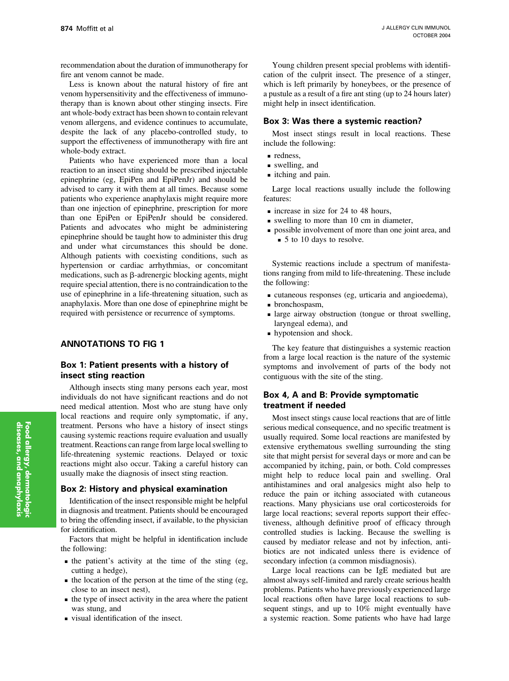recommendation about the duration of immunotherapy for fire ant venom cannot be made.

Less is known about the natural history of fire ant venom hypersensitivity and the effectiveness of immunotherapy than is known about other stinging insects. Fire ant whole-body extract has been shown to contain relevant venom allergens, and evidence continues to accumulate, despite the lack of any placebo-controlled study, to support the effectiveness of immunotherapy with fire ant whole-body extract.

Patients who have experienced more than a local reaction to an insect sting should be prescribed injectable epinephrine (eg, EpiPen and EpiPenJr) and should be advised to carry it with them at all times. Because some patients who experience anaphylaxis might require more than one injection of epinephrine, prescription for more than one EpiPen or EpiPenJr should be considered. Patients and advocates who might be administering epinephrine should be taught how to administer this drug and under what circumstances this should be done. Although patients with coexisting conditions, such as hypertension or cardiac arrhythmias, or concomitant medications, such as  $\beta$ -adrenergic blocking agents, might require special attention, there is no contraindication to the use of epinephrine in a life-threatening situation, such as anaphylaxis. More than one dose of epinephrine might be required with persistence or recurrence of symptoms.

## ANNOTATIONS TO FIG 1

## Box 1: Patient presents with a history of insect sting reaction

Although insects sting many persons each year, most individuals do not have significant reactions and do not need medical attention. Most who are stung have only local reactions and require only symptomatic, if any, treatment. Persons who have a history of insect stings causing systemic reactions require evaluation and usually treatment. Reactions can range from large local swelling to life-threatening systemic reactions. Delayed or toxic reactions might also occur. Taking a careful history can usually make the diagnosis of insect sting reaction.

### Box 2: History and physical examination

Identification of the insect responsible might be helpful in diagnosis and treatment. Patients should be encouraged to bring the offending insect, if available, to the physician for identification.

Factors that might be helpful in identification include the following:

- $\blacksquare$  the patient's activity at the time of the sting (eg, cutting a hedge),
- $\blacksquare$  the location of the person at the time of the sting (eg, close to an insect nest),
- $\blacksquare$  the type of insect activity in the area where the patient was stung, and
- <sup>n</sup> visual identification of the insect.

Young children present special problems with identification of the culprit insect. The presence of a stinger, which is left primarily by honeybees, or the presence of a pustule as a result of a fire ant sting (up to 24 hours later) might help in insect identification.

### Box 3: Was there a systemic reaction?

Most insect stings result in local reactions. These include the following:

- $\blacksquare$  redness.
- us swelling, and
- itching and pain.

Large local reactions usually include the following features:

- n increase in size for 24 to 48 hours,
- $\blacksquare$  swelling to more than 10 cm in diameter.
- n possible involvement of more than one joint area, and ■ 5 to 10 days to resolve.

Systemic reactions include a spectrum of manifestations ranging from mild to life-threatening. These include the following:

- $\blacksquare$  cutaneous responses (eg, urticaria and angioedema),
- $\blacksquare$  bronchospasm,
- <sup>n</sup> large airway obstruction (tongue or throat swelling, laryngeal edema), and
- **n** hypotension and shock.

The key feature that distinguishes a systemic reaction from a large local reaction is the nature of the systemic symptoms and involvement of parts of the body not contiguous with the site of the sting.

## Box 4, A and B: Provide symptomatic treatment if needed

Most insect stings cause local reactions that are of little serious medical consequence, and no specific treatment is usually required. Some local reactions are manifested by extensive erythematous swelling surrounding the sting site that might persist for several days or more and can be accompanied by itching, pain, or both. Cold compresses might help to reduce local pain and swelling. Oral antihistamines and oral analgesics might also help to reduce the pain or itching associated with cutaneous reactions. Many physicians use oral corticosteroids for large local reactions; several reports support their effectiveness, although definitive proof of efficacy through controlled studies is lacking. Because the swelling is caused by mediator release and not by infection, antibiotics are not indicated unless there is evidence of secondary infection (a common misdiagnosis).

Large local reactions can be IgE mediated but are almost always self-limited and rarely create serious health problems. Patients who have previously experienced large local reactions often have large local reactions to subsequent stings, and up to 10% might eventually have a systemic reaction. Some patients who have had large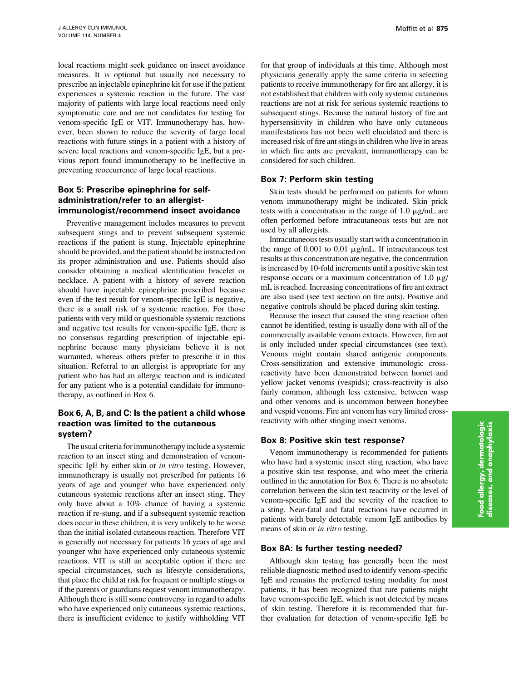local reactions might seek guidance on insect avoidance measures. It is optional but usually not necessary to prescribe an injectable epinephrine kit for use if the patient experiences a systemic reaction in the future. The vast majority of patients with large local reactions need only symptomatic care and are not candidates for testing for venom-specific IgE or VIT. Immunotherapy has, however, been shown to reduce the severity of large local reactions with future stings in a patient with a history of severe local reactions and venom-specific IgE, but a previous report found immunotherapy to be ineffective in preventing reoccurrence of large local reactions.

## Box 5: Prescribe epinephrine for selfadministration/refer to an allergistimmunologist/recommend insect avoidance

Preventive management includes measures to prevent subsequent stings and to prevent subsequent systemic reactions if the patient is stung. Injectable epinephrine should be provided, and the patient should be instructed on its proper administration and use. Patients should also consider obtaining a medical identification bracelet or necklace. A patient with a history of severe reaction should have injectable epinephrine prescribed because even if the test result for venom-specific IgE is negative, there is a small risk of a systemic reaction. For those patients with very mild or questionable systemic reactions and negative test results for venom-specific IgE, there is no consensus regarding prescription of injectable epinephrine because many physicians believe it is not warranted, whereas others prefer to prescribe it in this situation. Referral to an allergist is appropriate for any patient who has had an allergic reaction and is indicated for any patient who is a potential candidate for immunotherapy, as outlined in Box 6.

## Box 6, A, B, and C: Is the patient a child whose reaction was limited to the cutaneous system?

The usual criteria for immunotherapy include a systemic reaction to an insect sting and demonstration of venomspecific IgE by either skin or in vitro testing. However, immunotherapy is usually not prescribed for patients 16 years of age and younger who have experienced only cutaneous systemic reactions after an insect sting. They only have about a 10% chance of having a systemic reaction if re-stung, and if a subsequent systemic reaction does occur in these children, it is very unlikely to be worse than the initial isolated cutaneous reaction. Therefore VIT is generally not necessary for patients 16 years of age and younger who have experienced only cutaneous systemic reactions. VIT is still an acceptable option if there are special circumstances, such as lifestyle considerations, that place the child at risk for frequent or multiple stings or if the parents or guardians request venom immunotherapy. Although there is still some controversy in regard to adults who have experienced only cutaneous systemic reactions, there is insufficient evidence to justify withholding VIT for that group of individuals at this time. Although most physicians generally apply the same criteria in selecting patients to receive immunotherapy for fire ant allergy, it is not established that children with only systemic cutaneous reactions are not at risk for serious systemic reactions to subsequent stings. Because the natural history of fire ant hypersensitivity in children who have only cutaneous manifestations has not been well elucidated and there is increased risk of fire ant stings in children who live in areas in which fire ants are prevalent, immunotherapy can be considered for such children.

## Box 7: Perform skin testing

Skin tests should be performed on patients for whom venom immunotherapy might be indicated. Skin prick tests with a concentration in the range of 1.0  $\mu$ g/mL are often performed before intracutaneous tests but are not used by all allergists.

Intracutaneous tests usually start with a concentration in the range of  $0.001$  to  $0.01 \mu g/mL$ . If intracutaneous test results at this concentration are negative, the concentration is increased by 10-fold increments until a positive skin test response occurs or a maximum concentration of  $1.0 \mu g$ / mL is reached. Increasing concentrations of fire ant extract are also used (see text section on fire ants). Positive and negative controls should be placed during skin testing.

Because the insect that caused the sting reaction often cannot be identified, testing is usually done with all of the commercially available venom extracts. However, fire ant is only included under special circumstances (see text). Venoms might contain shared antigenic components. Cross-sensitization and extensive immunologic crossreactivity have been demonstrated between hornet and yellow jacket venoms (vespids); cross-reactivity is also fairly common, although less extensive, between wasp and other venoms and is uncommon between honeybee and vespid venoms. Fire ant venom has very limited crossreactivity with other stinging insect venoms.

## Box 8: Positive skin test response?

Venom immunotherapy is recommended for patients who have had a systemic insect sting reaction, who have a positive skin test response, and who meet the criteria outlined in the annotation for Box 6. There is no absolute correlation between the skin test reactivity or the level of venom-specific IgE and the severity of the reaction to a sting. Near-fatal and fatal reactions have occurred in patients with barely detectable venom IgE antibodies by means of skin or in vitro testing.

## Box 8A: Is further testing needed?

Although skin testing has generally been the most reliable diagnostic method used to identify venom-specific IgE and remains the preferred testing modality for most patients, it has been recognized that rare patients might have venom-specific IgE, which is not detected by means of skin testing. Therefore it is recommended that further evaluation for detection of venom-specific IgE be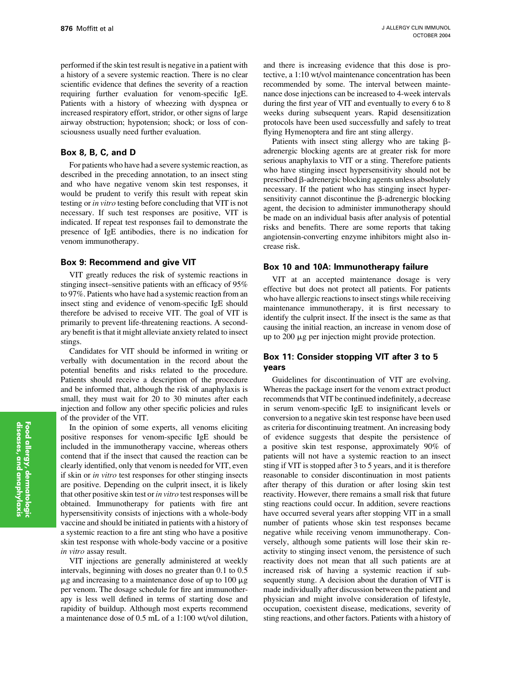performed if the skin test result is negative in a patient with a history of a severe systemic reaction. There is no clear scientific evidence that defines the severity of a reaction requiring further evaluation for venom-specific IgE. Patients with a history of wheezing with dyspnea or increased respiratory effort, stridor, or other signs of large airway obstruction; hypotension; shock; or loss of consciousness usually need further evaluation.

## Box 8, B, C, and D

For patients who have had a severe systemic reaction, as described in the preceding annotation, to an insect sting and who have negative venom skin test responses, it would be prudent to verify this result with repeat skin testing or in vitro testing before concluding that VIT is not necessary. If such test responses are positive, VIT is indicated. If repeat test responses fail to demonstrate the presence of IgE antibodies, there is no indication for venom immunotherapy.

#### Box 9: Recommend and give VIT

VIT greatly reduces the risk of systemic reactions in stinging insect–sensitive patients with an efficacy of 95% to 97%. Patients who have had a systemic reaction from an insect sting and evidence of venom-specific IgE should therefore be advised to receive VIT. The goal of VIT is primarily to prevent life-threatening reactions. A secondary benefit is that it might alleviate anxiety related to insect stings.

Candidates for VIT should be informed in writing or verbally with documentation in the record about the potential benefits and risks related to the procedure. Patients should receive a description of the procedure and be informed that, although the risk of anaphylaxis is small, they must wait for 20 to 30 minutes after each injection and follow any other specific policies and rules of the provider of the VIT.

In the opinion of some experts, all venoms eliciting positive responses for venom-specific IgE should be included in the immunotherapy vaccine, whereas others contend that if the insect that caused the reaction can be clearly identified, only that venom is needed for VIT, even if skin or in vitro test responses for other stinging insects are positive. Depending on the culprit insect, it is likely that other positive skin test or in vitro test responses will be obtained. Immunotherapy for patients with fire ant hypersensitivity consists of injections with a whole-body vaccine and should be initiated in patients with a history of a systemic reaction to a fire ant sting who have a positive skin test response with whole-body vaccine or a positive in vitro assay result.

VIT injections are generally administered at weekly intervals, beginning with doses no greater than 0.1 to 0.5  $\mu$ g and increasing to a maintenance dose of up to 100  $\mu$ g per venom. The dosage schedule for fire ant immunotherapy is less well defined in terms of starting dose and rapidity of buildup. Although most experts recommend a maintenance dose of 0.5 mL of a 1:100 wt/vol dilution,

and there is increasing evidence that this dose is protective, a 1:10 wt/vol maintenance concentration has been recommended by some. The interval between maintenance dose injections can be increased to 4-week intervals during the first year of VIT and eventually to every 6 to 8 weeks during subsequent years. Rapid desensitization protocols have been used successfully and safely to treat flying Hymenoptera and fire ant sting allergy.

Patients with insect sting allergy who are taking  $\beta$ adrenergic blocking agents are at greater risk for more serious anaphylaxis to VIT or a sting. Therefore patients who have stinging insect hypersensitivity should not be prescribed  $\beta$ -adrenergic blocking agents unless absolutely necessary. If the patient who has stinging insect hypersensitivity cannot discontinue the  $\beta$ -adrenergic blocking agent, the decision to administer immunotherapy should be made on an individual basis after analysis of potential risks and benefits. There are some reports that taking angiotensin-converting enzyme inhibitors might also increase risk.

#### Box 10 and 10A: Immunotherapy failure

VIT at an accepted maintenance dosage is very effective but does not protect all patients. For patients who have allergic reactions to insect stings while receiving maintenance immunotherapy, it is first necessary to identify the culprit insect. If the insect is the same as that causing the initial reaction, an increase in venom dose of up to  $200 \mu$ g per injection might provide protection.

## Box 11: Consider stopping VIT after 3 to 5 years

Guidelines for discontinuation of VIT are evolving. Whereas the package insert for the venom extract product recommends that VIT be continued indefinitely, a decrease in serum venom-specific IgE to insignificant levels or conversion to a negative skin test response have been used as criteria for discontinuing treatment. An increasing body of evidence suggests that despite the persistence of a positive skin test response, approximately 90% of patients will not have a systemic reaction to an insect sting if VIT is stopped after 3 to 5 years, and it is therefore reasonable to consider discontinuation in most patients after therapy of this duration or after losing skin test reactivity. However, there remains a small risk that future sting reactions could occur. In addition, severe reactions have occurred several years after stopping VIT in a small number of patients whose skin test responses became negative while receiving venom immunotherapy. Conversely, although some patients will lose their skin reactivity to stinging insect venom, the persistence of such reactivity does not mean that all such patients are at increased risk of having a systemic reaction if subsequently stung. A decision about the duration of VIT is made individually after discussion between the patient and physician and might involve consideration of lifestyle, occupation, coexistent disease, medications, severity of sting reactions, and other factors. Patients with a history of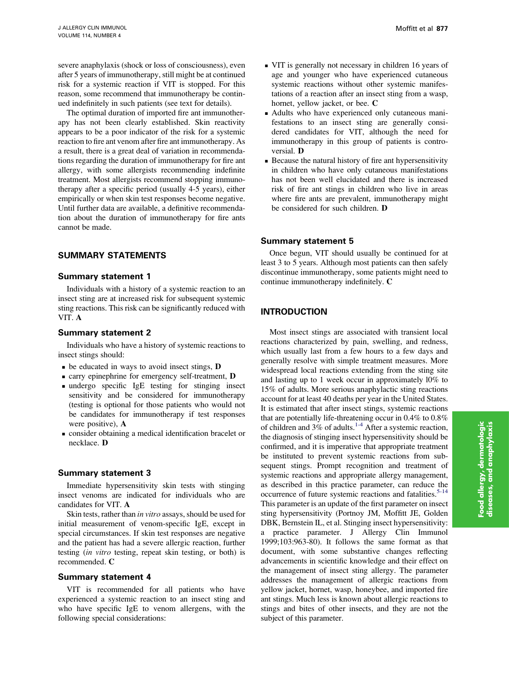severe anaphylaxis (shock or loss of consciousness), even after 5 years of immunotherapy, still might be at continued risk for a systemic reaction if VIT is stopped. For this reason, some recommend that immunotherapy be continued indefinitely in such patients (see text for details).

The optimal duration of imported fire ant immunotherapy has not been clearly established. Skin reactivity appears to be a poor indicator of the risk for a systemic reaction to fire ant venom after fire ant immunotherapy. As a result, there is a great deal of variation in recommendations regarding the duration of immunotherapy for fire ant allergy, with some allergists recommending indefinite treatment. Most allergists recommend stopping immunotherapy after a specific period (usually 4-5 years), either empirically or when skin test responses become negative. Until further data are available, a definitive recommendation about the duration of immunotherapy for fire ants cannot be made.

## SUMMARY STATEMENTS

#### Summary statement 1

Individuals with a history of a systemic reaction to an insect sting are at increased risk for subsequent systemic sting reactions. This risk can be significantly reduced with VIT. A

#### Summary statement 2

Individuals who have a history of systemic reactions to insect stings should:

- $\bullet$  be educated in ways to avoid insect stings, **D**
- <sup>n</sup> carry epinephrine for emergency self-treatment, D
- <sup>n</sup> undergo specific IgE testing for stinging insect sensitivity and be considered for immunotherapy (testing is optional for those patients who would not be candidates for immunotherapy if test responses were positive), A
- <sup>n</sup> consider obtaining a medical identification bracelet or necklace. D

#### Summary statement 3

Immediate hypersensitivity skin tests with stinging insect venoms are indicated for individuals who are candidates for VIT. A

Skin tests, rather than in vitro assays, should be used for initial measurement of venom-specific IgE, except in special circumstances. If skin test responses are negative and the patient has had a severe allergic reaction, further testing (in vitro testing, repeat skin testing, or both) is recommended. C

## Summary statement 4

VIT is recommended for all patients who have experienced a systemic reaction to an insect sting and who have specific IgE to venom allergens, with the following special considerations:

- <sup>n</sup> VIT is generally not necessary in children 16 years of age and younger who have experienced cutaneous systemic reactions without other systemic manifestations of a reaction after an insect sting from a wasp, hornet, yellow jacket, or bee. C
- <sup>n</sup> Adults who have experienced only cutaneous manifestations to an insect sting are generally considered candidates for VIT, although the need for immunotherapy in this group of patients is controversial. D
- <sup>n</sup> Because the natural history of fire ant hypersensitivity in children who have only cutaneous manifestations has not been well elucidated and there is increased risk of fire ant stings in children who live in areas where fire ants are prevalent, immunotherapy might be considered for such children. D

#### Summary statement 5

Once begun, VIT should usually be continued for at least 3 to 5 years. Although most patients can then safely discontinue immunotherapy, some patients might need to continue immunotherapy indefinitely. C

## INTRODUCTION

Most insect stings are associated with transient local reactions characterized by pain, swelling, and redness, which usually last from a few hours to a few days and generally resolve with simple treatment measures. More widespread local reactions extending from the sting site and lasting up to 1 week occur in approximately l0% to 15% of adults. More serious anaphylactic sting reactions account for at least 40 deaths per year in the United States. It is estimated that after insect stings, systemic reactions that are potentially life-threatening occur in 0.4% to 0.8% of children and  $3\%$  of adults.<sup>[1-4](#page-15-0)</sup> After a systemic reaction, the diagnosis of stinging insect hypersensitivity should be confirmed, and it is imperative that appropriate treatment be instituted to prevent systemic reactions from subsequent stings. Prompt recognition and treatment of systemic reactions and appropriate allergy management, as described in this practice parameter, can reduce the occurrence of future systemic reactions and fatalities.<sup>[5-14](#page-15-0)</sup> This parameter is an update of the first parameter on insect sting hypersensitivity (Portnoy JM, Moffitt JE, Golden DBK, Bernstein IL, et al. Stinging insect hypersensitivity: a practice parameter. J Allergy Clin Immunol 1999;103:963-80). It follows the same format as that document, with some substantive changes reflecting advancements in scientific knowledge and their effect on the management of insect sting allergy. The parameter addresses the management of allergic reactions from yellow jacket, hornet, wasp, honeybee, and imported fire ant stings. Much less is known about allergic reactions to stings and bites of other insects, and they are not the subject of this parameter.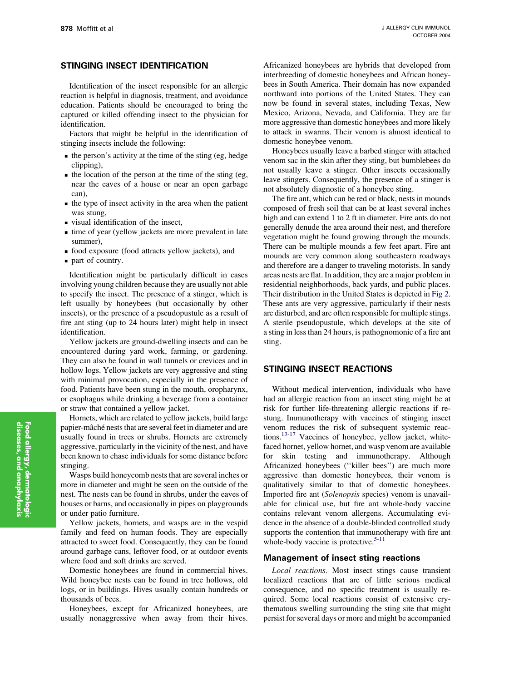## STINGING INSECT IDENTIFICATION

Identification of the insect responsible for an allergic reaction is helpful in diagnosis, treatment, and avoidance education. Patients should be encouraged to bring the captured or killed offending insect to the physician for identification.

Factors that might be helpful in the identification of stinging insects include the following:

- $\blacksquare$  the person's activity at the time of the sting (eg, hedge) clipping),
- $\blacksquare$  the location of the person at the time of the sting (eg, near the eaves of a house or near an open garbage can),
- n the type of insect activity in the area when the patient was stung,
- <sup>n</sup> visual identification of the insect,
- $\blacksquare$  time of year (yellow jackets are more prevalent in late summer),
- <sup>n</sup> food exposure (food attracts yellow jackets), and
- n part of country.

Identification might be particularly difficult in cases involving young children because they are usually not able to specify the insect. The presence of a stinger, which is left usually by honeybees (but occasionally by other insects), or the presence of a pseudopustule as a result of fire ant sting (up to 24 hours later) might help in insect identification.

Yellow jackets are ground-dwelling insects and can be encountered during yard work, farming, or gardening. They can also be found in wall tunnels or crevices and in hollow logs. Yellow jackets are very aggressive and sting with minimal provocation, especially in the presence of food. Patients have been stung in the mouth, oropharynx, or esophagus while drinking a beverage from a container or straw that contained a yellow jacket.

Hornets, which are related to yellow jackets, build large papier-mâché nests that are several feet in diameter and are usually found in trees or shrubs. Hornets are extremely aggressive, particularly in the vicinity of the nest, and have been known to chase individuals for some distance before stinging.

Wasps build honeycomb nests that are several inches or more in diameter and might be seen on the outside of the nest. The nests can be found in shrubs, under the eaves of houses or barns, and occasionally in pipes on playgrounds or under patio furniture.

Yellow jackets, hornets, and wasps are in the vespid family and feed on human foods. They are especially attracted to sweet food. Consequently, they can be found around garbage cans, leftover food, or at outdoor events where food and soft drinks are served.

Domestic honeybees are found in commercial hives. Wild honeybee nests can be found in tree hollows, old logs, or in buildings. Hives usually contain hundreds or thousands of bees.

Honeybees, except for Africanized honeybees, are usually nonaggressive when away from their hives. Africanized honeybees are hybrids that developed from interbreeding of domestic honeybees and African honeybees in South America. Their domain has now expanded northward into portions of the United States. They can now be found in several states, including Texas, New Mexico, Arizona, Nevada, and California. They are far more aggressive than domestic honeybees and more likely to attack in swarms. Their venom is almost identical to domestic honeybee venom.

Honeybees usually leave a barbed stinger with attached venom sac in the skin after they sting, but bumblebees do not usually leave a stinger. Other insects occasionally leave stingers. Consequently, the presence of a stinger is not absolutely diagnostic of a honeybee sting.

The fire ant, which can be red or black, nests in mounds composed of fresh soil that can be at least several inches high and can extend 1 to 2 ft in diameter. Fire ants do not generally denude the area around their nest, and therefore vegetation might be found growing through the mounds. There can be multiple mounds a few feet apart. Fire ant mounds are very common along southeastern roadways and therefore are a danger to traveling motorists. In sandy areas nests are flat. In addition, they are a major problem in residential neighborhoods, back yards, and public places. Their distribution in the United States is depicted in [Fig 2.](#page-10-0) These ants are very aggressive, particularly if their nests are disturbed, and are often responsible for multiple stings. A sterile pseudopustule, which develops at the site of a sting in less than 24 hours, is pathognomonic of a fire ant sting.

## STINGING INSECT REACTIONS

Without medical intervention, individuals who have had an allergic reaction from an insect sting might be at risk for further life-threatening allergic reactions if restung. Immunotherapy with vaccines of stinging insect venom reduces the risk of subsequent systemic reactions[.13-17](#page-15-0) Vaccines of honeybee, yellow jacket, whitefaced hornet, yellow hornet, and wasp venom are available for skin testing and immunotherapy. Although Africanized honeybees (''killer bees'') are much more aggressive than domestic honeybees, their venom is qualitatively similar to that of domestic honeybees. Imported fire ant (Solenopsis species) venom is unavailable for clinical use, but fire ant whole-body vaccine contains relevant venom allergens. Accumulating evidence in the absence of a double-blinded controlled study supports the contention that immunotherapy with fire ant whole-body vaccine is protective. $5-11$ 

#### Management of insect sting reactions

Local reactions. Most insect stings cause transient localized reactions that are of little serious medical consequence, and no specific treatment is usually required. Some local reactions consist of extensive erythematous swelling surrounding the sting site that might persist for several days or more and might be accompanied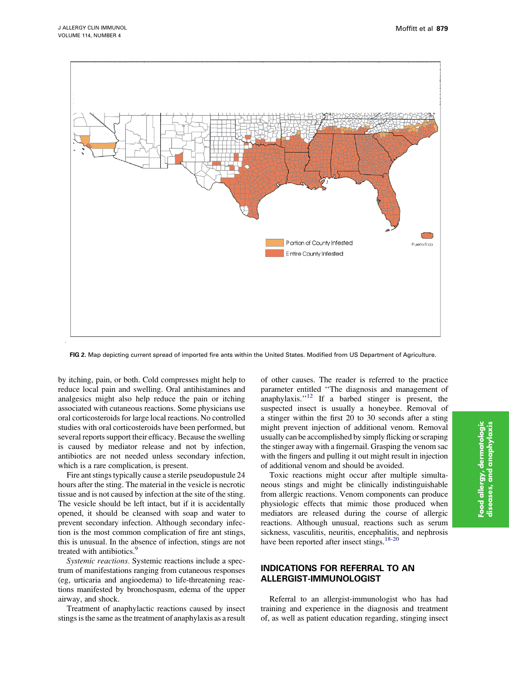<span id="page-10-0"></span>

FIG 2. Map depicting current spread of imported fire ants within the United States. Modified from US Department of Agriculture.

by itching, pain, or both. Cold compresses might help to reduce local pain and swelling. Oral antihistamines and analgesics might also help reduce the pain or itching associated with cutaneous reactions. Some physicians use oral corticosteroids for large local reactions. No controlled studies with oral corticosteroids have been performed, but several reports support their efficacy. Because the swelling is caused by mediator release and not by infection, antibiotics are not needed unless secondary infection, which is a rare complication, is present.

Fire ant stings typically cause a sterile pseudopustule 24 hours after the sting. The material in the vesicle is necrotic tissue and is not caused by infection at the site of the sting. The vesicle should be left intact, but if it is accidentally opened, it should be cleansed with soap and water to prevent secondary infection. Although secondary infection is the most common complication of fire ant stings, this is unusual. In the absence of infection, stings are not treated with antibiotics.<sup>[9](#page-15-0)</sup>

Systemic reactions. Systemic reactions include a spectrum of manifestations ranging from cutaneous responses (eg, urticaria and angioedema) to life-threatening reactions manifested by bronchospasm, edema of the upper airway, and shock.

Treatment of anaphylactic reactions caused by insect stings is the same as the treatment of anaphylaxis as a result

of other causes. The reader is referred to the practice parameter entitled ''The diagnosis and management of anaphylaxis. $12$  If a barbed stinger is present, the suspected insect is usually a honeybee. Removal of a stinger within the first 20 to 30 seconds after a sting might prevent injection of additional venom. Removal usually can be accomplished by simply flicking or scraping the stinger away with a fingernail. Grasping the venom sac with the fingers and pulling it out might result in injection of additional venom and should be avoided.

Toxic reactions might occur after multiple simultaneous stings and might be clinically indistinguishable from allergic reactions. Venom components can produce physiologic effects that mimic those produced when mediators are released during the course of allergic reactions. Although unusual, reactions such as serum sickness, vasculitis, neuritis, encephalitis, and nephrosis have been reported after insect stings.<sup>18-20</sup>

# INDICATIONS FOR REFERRAL TO AN ALLERGIST-IMMUNOLOGIST

Referral to an allergist-immunologist who has had training and experience in the diagnosis and treatment of, as well as patient education regarding, stinging insect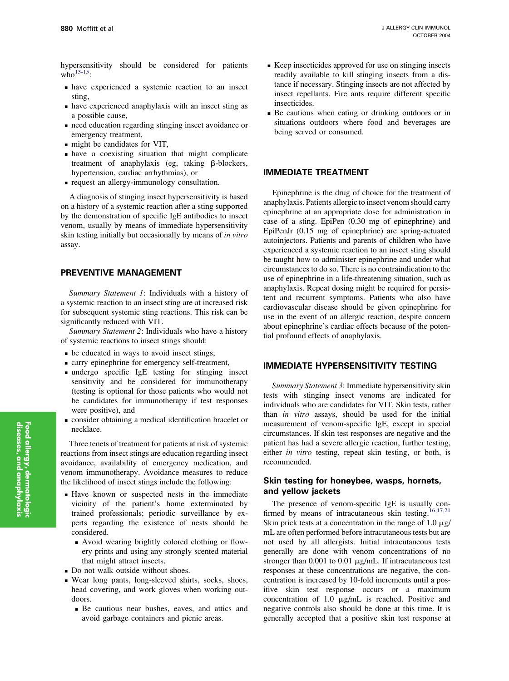hypersensitivity should be considered for patients who $^{13-15}$ .

- <sup>n</sup> have experienced a systemic reaction to an insect sting,
- <sup>n</sup> have experienced anaphylaxis with an insect sting as a possible cause,
- <sup>n</sup> need education regarding stinging insect avoidance or emergency treatment,
- $\blacksquare$  might be candidates for VIT,
- <sup>n</sup> have a coexisting situation that might complicate treatment of anaphylaxis (eg, taking B-blockers, hypertension, cardiac arrhythmias), or
- <sup>n</sup> request an allergy-immunology consultation.

A diagnosis of stinging insect hypersensitivity is based on a history of a systemic reaction after a sting supported by the demonstration of specific IgE antibodies to insect venom, usually by means of immediate hypersensitivity skin testing initially but occasionally by means of in vitro assay.

## PREVENTIVE MANAGEMENT

Summary Statement 1: Individuals with a history of a systemic reaction to an insect sting are at increased risk for subsequent systemic sting reactions. This risk can be significantly reduced with VIT.

Summary Statement 2: Individuals who have a history of systemic reactions to insect stings should:

- be educated in ways to avoid insect stings,
- <sup>n</sup> carry epinephrine for emergency self-treatment,
- <sup>n</sup> undergo specific IgE testing for stinging insect sensitivity and be considered for immunotherapy (testing is optional for those patients who would not be candidates for immunotherapy if test responses were positive), and
- <sup>n</sup> consider obtaining a medical identification bracelet or necklace.

Three tenets of treatment for patients at risk of systemic reactions from insect stings are education regarding insect avoidance, availability of emergency medication, and venom immunotherapy. Avoidance measures to reduce the likelihood of insect stings include the following:

- <sup>n</sup> Have known or suspected nests in the immediate vicinity of the patient's home exterminated by trained professionals; periodic surveillance by experts regarding the existence of nests should be considered.
	- <sup>n</sup> Avoid wearing brightly colored clothing or flowery prints and using any strongly scented material that might attract insects.
- Do not walk outside without shoes.
- <sup>n</sup> Wear long pants, long-sleeved shirts, socks, shoes, head covering, and work gloves when working outdoors.
	- <sup>n</sup> Be cautious near bushes, eaves, and attics and avoid garbage containers and picnic areas.
- <sup>n</sup> Keep insecticides approved for use on stinging insects readily available to kill stinging insects from a distance if necessary. Stinging insects are not affected by insect repellants. Fire ants require different specific insecticides.
- <sup>n</sup> Be cautious when eating or drinking outdoors or in situations outdoors where food and beverages are being served or consumed.

## IMMEDIATE TREATMENT

Epinephrine is the drug of choice for the treatment of anaphylaxis. Patients allergic to insect venom should carry epinephrine at an appropriate dose for administration in case of a sting. EpiPen (0.30 mg of epinephrine) and EpiPenJr (0.15 mg of epinephrine) are spring-actuated autoinjectors. Patients and parents of children who have experienced a systemic reaction to an insect sting should be taught how to administer epinephrine and under what circumstances to do so. There is no contraindication to the use of epinephrine in a life-threatening situation, such as anaphylaxis. Repeat dosing might be required for persistent and recurrent symptoms. Patients who also have cardiovascular disease should be given epinephrine for use in the event of an allergic reaction, despite concern about epinephrine's cardiac effects because of the potential profound effects of anaphylaxis.

## IMMEDIATE HYPERSENSITIVITY TESTING

Summary Statement 3: Immediate hypersensitivity skin tests with stinging insect venoms are indicated for individuals who are candidates for VIT. Skin tests, rather than in vitro assays, should be used for the initial measurement of venom-specific IgE, except in special circumstances. If skin test responses are negative and the patient has had a severe allergic reaction, further testing, either in vitro testing, repeat skin testing, or both, is recommended.

## Skin testing for honeybee, wasps, hornets, and yellow jackets

The presence of venom-specific IgE is usually con-firmed by means of intracutaneous skin testing.<sup>[16,17,21](#page-15-0)</sup> Skin prick tests at a concentration in the range of 1.0  $\mu$ g/ mL are often performed before intracutaneous tests but are not used by all allergists. Initial intracutaneous tests generally are done with venom concentrations of no stronger than  $0.001$  to  $0.01 \mu g/mL$ . If intracutaneous test responses at these concentrations are negative, the concentration is increased by 10-fold increments until a positive skin test response occurs or a maximum concentration of 1.0  $\mu$ g/mL is reached. Positive and negative controls also should be done at this time. It is generally accepted that a positive skin test response at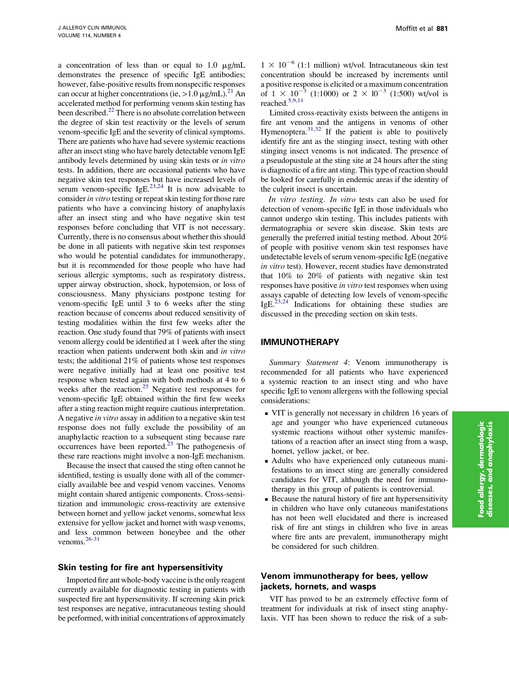a concentration of less than or equal to  $1.0 \mu g/mL$ demonstrates the presence of specific IgE antibodies; however, false-positive results from nonspecific responses can occur at higher concentrations (ie,  $>1.0 \mu g/mL$ ).<sup>[21](#page-15-0)</sup> An accelerated method for performing venom skin testing has been described.<sup>22</sup> There is no absolute correlation between the degree of skin test reactivity or the levels of serum venom-specific IgE and the severity of clinical symptoms. There are patients who have had severe systemic reactions after an insect sting who have barely detectable venom IgE antibody levels determined by using skin tests or in vitro tests. In addition, there are occasional patients who have negative skin test responses but have increased levels of serum venom-specific IgE.<sup>[23,24](#page-15-0)</sup> It is now advisable to consider in vitro testing or repeat skin testing for those rare patients who have a convincing history of anaphylaxis after an insect sting and who have negative skin test responses before concluding that VIT is not necessary. Currently, there is no consensus about whether this should be done in all patients with negative skin test responses who would be potential candidates for immunotherapy, but it is recommended for those people who have had serious allergic symptoms, such as respiratory distress, upper airway obstruction, shock, hypotension, or loss of consciousness. Many physicians postpone testing for venom-specific IgE until 3 to 6 weeks after the sting reaction because of concerns about reduced sensitivity of testing modalities within the first few weeks after the reaction. One study found that 79% of patients with insect venom allergy could be identified at 1 week after the sting reaction when patients underwent both skin and in vitro tests; the additional 21% of patients whose test responses were negative initially had at least one positive test response when tested again with both methods at 4 to 6 weeks after the reaction.<sup>[25](#page-15-0)</sup> Negative test responses for venom-specific IgE obtained within the first few weeks after a sting reaction might require cautious interpretation. A negative in vitro assay in addition to a negative skin test response does not fully exclude the possibility of an anaphylactic reaction to a subsequent sting because rare occurrences have been reported. $^{23}$  $^{23}$  $^{23}$  The pathogenesis of these rare reactions might involve a non-IgE mechanism.

Because the insect that caused the sting often cannot he identified, testing is usually done with all of the commercially available bee and vespid venom vaccines. Venoms might contain shared antigenic components. Cross-sensitization and immunologic cross-reactivity are extensive between hornet and yellow jacket venoms, somewhat less extensive for yellow jacket and hornet with wasp venoms, and less common between honeybee and the other venoms.[26-31](#page-15-0)

## Skin testing for fire ant hypersensitivity

Imported fire ant whole-body vaccine is the only reagent currently available for diagnostic testing in patients with suspected fire ant hypersensitivity. If screening skin prick test responses are negative, intracutaneous testing should be performed, with initial concentrations of approximately

 $1 \times 10^{-6}$  (1:1 million) wt/vol. Intracutaneous skin test concentration should be increased by increments until a positive response is elicited or a maximum concentration of  $1 \times 10^{-3}$  (1:1000) or  $2 \times 10^{-3}$  (1:500) wt/vol is reached.[5,9,11](#page-15-0)

Limited cross-reactivity exists between the antigens in fire ant venom and the antigens in venoms of other Hymenoptera.<sup>[31,32](#page-15-0)</sup> If the patient is able to positively identify fire ant as the stinging insect, testing with other stinging insect venoms is not indicated. The presence of a pseudopustule at the sting site at 24 hours after the sting is diagnostic of a fire ant sting. This type of reaction should be looked for carefully in endemic areas if the identity of the culprit insect is uncertain.

In vitro testing. In vitro tests can also be used for detection of venom-specific IgE in those individuals who cannot undergo skin testing. This includes patients with dermatographia or severe skin disease. Skin tests are generally the preferred initial testing method. About 20% of people with positive venom skin test responses have undetectable levels of serum venom-specific IgE (negative in vitro test). However, recent studies have demonstrated that 10% to 20% of patients with negative skin test responses have positive in vitro test responses when using assays capable of detecting low levels of venom-specific IgE.<sup>[23,24](#page-15-0)</sup> Indications for obtaining these studies are discussed in the preceding section on skin tests.

## IMMUNOTHERAPY

Summary Statement 4: Venom immunotherapy is recommended for all patients who have experienced a systemic reaction to an insect sting and who have specific IgE to venom allergens with the following special considerations:

- <sup>n</sup> VIT is generally not necessary in children 16 years of age and younger who have experienced cutaneous systemic reactions without other systemic manifestations of a reaction after an insect sting from a wasp, hornet, yellow jacket, or bee.
- <sup>n</sup> Adults who have experienced only cutaneous manifestations to an insect sting are generally considered candidates for VIT, although the need for immunotherapy in this group of patients is controversial.
- <sup>n</sup> Because the natural history of fire ant hypersensitivity in children who have only cutaneous manifestations has not been well elucidated and there is increased risk of fire ant stings in children who live in areas where fire ants are prevalent, immunotherapy might be considered for such children.

## Venom immunotherapy for bees, yellow jackets, hornets, and wasps

VIT has proved to be an extremely effective form of treatment for individuals at risk of insect sting anaphylaxis. VIT has been shown to reduce the risk of a sub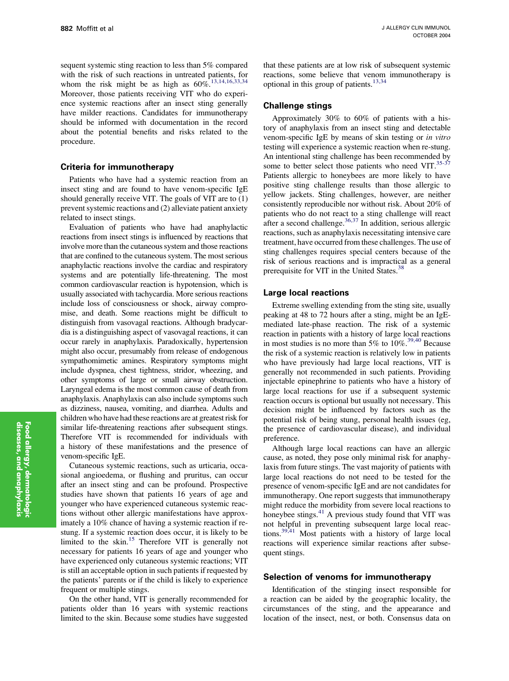sequent systemic sting reaction to less than 5% compared with the risk of such reactions in untreated patients, for whom the risk might be as high as  $60\%$ <sup>[13,14,16,33,34](#page-15-0)</sup> Moreover, those patients receiving VIT who do experience systemic reactions after an insect sting generally have milder reactions. Candidates for immunotherapy should be informed with documentation in the record about the potential benefits and risks related to the procedure.

#### Criteria for immunotherapy

Patients who have had a systemic reaction from an insect sting and are found to have venom-specific IgE should generally receive VIT. The goals of VIT are to (1) prevent systemic reactions and (2) alleviate patient anxiety related to insect stings.

Evaluation of patients who have had anaphylactic reactions from insect stings is influenced by reactions that involve more than the cutaneous system and those reactions that are confined to the cutaneous system. The most serious anaphylactic reactions involve the cardiac and respiratory systems and are potentially life-threatening. The most common cardiovascular reaction is hypotension, which is usually associated with tachycardia. More serious reactions include loss of consciousness or shock, airway compromise, and death. Some reactions might be difficult to distinguish from vasovagal reactions. Although bradycardia is a distinguishing aspect of vasovagal reactions, it can occur rarely in anaphylaxis. Paradoxically, hypertension might also occur, presumably from release of endogenous sympathomimetic amines. Respiratory symptoms might include dyspnea, chest tightness, stridor, wheezing, and other symptoms of large or small airway obstruction. Laryngeal edema is the most common cause of death from anaphylaxis. Anaphylaxis can also include symptoms such as dizziness, nausea, vomiting, and diarrhea. Adults and children who have had these reactions are at greatest risk for similar life-threatening reactions after subsequent stings. Therefore VIT is recommended for individuals with a history of these manifestations and the presence of venom-specific IgE.

Cutaneous systemic reactions, such as urticaria, occasional angioedema, or flushing and pruritus, can occur after an insect sting and can be profound. Prospective studies have shown that patients 16 years of age and younger who have experienced cutaneous systemic reactions without other allergic manifestations have approximately a 10% chance of having a systemic reaction if restung. If a systemic reaction does occur, it is likely to be limited to the skin.<sup>[15](#page-15-0)</sup> Therefore VIT is generally not necessary for patients 16 years of age and younger who have experienced only cutaneous systemic reactions; VIT is still an acceptable option in such patients if requested by the patients' parents or if the child is likely to experience frequent or multiple stings.

On the other hand, VIT is generally recommended for patients older than 16 years with systemic reactions limited to the skin. Because some studies have suggested that these patients are at low risk of subsequent systemic reactions, some believe that venom immunotherapy is optional in this group of patients. $13,34$ 

## Challenge stings

Approximately 30% to 60% of patients with a history of anaphylaxis from an insect sting and detectable venom-specific IgE by means of skin testing or in vitro testing will experience a systemic reaction when re-stung. An intentional sting challenge has been recommended by some to better select those patients who need  $VIT$ .<sup>[35-37](#page-16-0)</sup> Patients allergic to honeybees are more likely to have positive sting challenge results than those allergic to yellow jackets. Sting challenges, however, are neither consistently reproducible nor without risk. About 20% of patients who do not react to a sting challenge will react after a second challenge. $36,37$  In addition, serious allergic reactions, such as anaphylaxis necessitating intensive care treatment, have occurred from these challenges. The use of sting challenges requires special centers because of the risk of serious reactions and is impractical as a general prerequisite for VIT in the United States.<sup>[38](#page-16-0)</sup>

#### Large local reactions

Extreme swelling extending from the sting site, usually peaking at 48 to 72 hours after a sting, might be an IgEmediated late-phase reaction. The risk of a systemic reaction in patients with a history of large local reactions in most studies is no more than 5% to  $10\%$ <sup>[39,40](#page-16-0)</sup> Because the risk of a systemic reaction is relatively low in patients who have previously had large local reactions, VIT is generally not recommended in such patients. Providing injectable epinephrine to patients who have a history of large local reactions for use if a subsequent systemic reaction occurs is optional but usually not necessary. This decision might be influenced by factors such as the potential risk of being stung, personal health issues (eg, the presence of cardiovascular disease), and individual preference.

Although large local reactions can have an allergic cause, as noted, they pose only minimal risk for anaphylaxis from future stings. The vast majority of patients with large local reactions do not need to be tested for the presence of venom-specific IgE and are not candidates for immunotherapy. One report suggests that immunotherapy might reduce the morbidity from severe local reactions to honeybee stings.<sup>[41](#page-16-0)</sup> A previous study found that VIT was not helpful in preventing subsequent large local reactions[.39,41](#page-16-0) Most patients with a history of large local reactions will experience similar reactions after subsequent stings.

#### Selection of venoms for immunotherapy

Identification of the stinging insect responsible for a reaction can be aided by the geographic locality, the circumstances of the sting, and the appearance and location of the insect, nest, or both. Consensus data on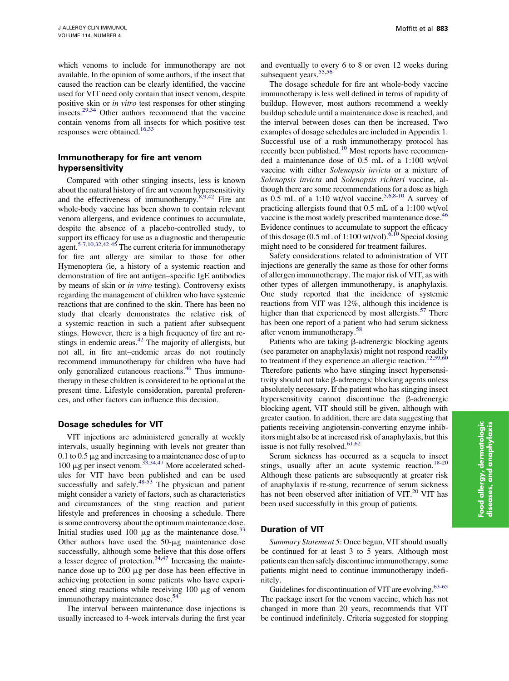which venoms to include for immunotherapy are not available. In the opinion of some authors, if the insect that caused the reaction can be clearly identified, the vaccine used for VIT need only contain that insect venom, despite positive skin or in vitro test responses for other stinging insects.<sup>[29,34](#page-15-0)</sup> Other authors recommend that the vaccine contain venoms from all insects for which positive test responses were obtained.<sup>[16,33](#page-15-0)</sup>

## Immunotherapy for fire ant venom hypersensitivity

Compared with other stinging insects, less is known about the natural history of fire ant venom hypersensitivity and the effectiveness of immunotherapy. $8,9,42$  Fire ant whole-body vaccine has been shown to contain relevant venom allergens, and evidence continues to accumulate, despite the absence of a placebo-controlled study, to support its efficacy for use as a diagnostic and therapeutic agent.<sup>[5-7,10,32,42-45](#page-15-0)</sup> The current criteria for immunotherapy for fire ant allergy are similar to those for other Hymenoptera (ie, a history of a systemic reaction and demonstration of fire ant antigen–specific IgE antibodies by means of skin or in vitro testing). Controversy exists regarding the management of children who have systemic reactions that are confined to the skin. There has been no study that clearly demonstrates the relative risk of a systemic reaction in such a patient after subsequent stings. However, there is a high frequency of fire ant restings in endemic areas.<sup> $42$ </sup> The majority of allergists, but not all, in fire ant–endemic areas do not routinely recommend immunotherapy for children who have had only generalized cutaneous reactions.<sup>[46](#page-16-0)</sup> Thus immunotherapy in these children is considered to be optional at the present time. Lifestyle consideration, parental preferences, and other factors can influence this decision.

## Dosage schedules for VIT

VIT injections are administered generally at weekly intervals, usually beginning with levels not greater than 0.1 to 0.5  $\mu$ g and increasing to a maintenance dose of up to 100 µg per insect venom.<sup>[33,34,47](#page-16-0)</sup> More accelerated schedules for VIT have been published and can be used successfully and safely. $48-53$  The physician and patient might consider a variety of factors, such as characteristics and circumstances of the sting reaction and patient lifestyle and preferences in choosing a schedule. There is some controversy about the optimum maintenance dose. Initial studies used 100  $\mu$ g as the maintenance dose.<sup>[33](#page-16-0)</sup> Other authors have used the  $50 - \mu$ g maintenance dose successfully, although some believe that this dose offers a lesser degree of protection.<sup>[34,47](#page-16-0)</sup> Increasing the maintenance dose up to 200 µg per dose has been effective in achieving protection in some patients who have experienced sting reactions while receiving  $100 \mu g$  of venom immunotherapy maintenance dose.<sup>[54](#page-16-0)</sup>

The interval between maintenance dose injections is usually increased to 4-week intervals during the first year

and eventually to every 6 to 8 or even 12 weeks during subsequent years.<sup>55,56</sup>

The dosage schedule for fire ant whole-body vaccine immunotherapy is less well defined in terms of rapidity of buildup. However, most authors recommend a weekly buildup schedule until a maintenance dose is reached, and the interval between doses can then be increased. Two examples of dosage schedules are included in Appendix 1. Successful use of a rush immunotherapy protocol has recently been published.<sup>[10](#page-15-0)</sup> Most reports have recommended a maintenance dose of 0.5 mL of a 1:100 wt/vol vaccine with either Solenopsis invicta or a mixture of Solenopsis invicta and Solenopsis richteri vaccine, although there are some recommendations for a dose as high as  $0.5$  mL of a 1:10 wt/vol vaccine.<sup>[5,6,8-10](#page-15-0)</sup> A survey of practicing allergists found that 0.5 mL of a 1:100 wt/vol vaccine is the most widely prescribed maintenance dose.<sup>[46](#page-16-0)</sup> Evidence continues to accumulate to support the efficacy of this dosage (0.5 mL of 1:100 wt/vol).  $6,10$  Special dosing might need to be considered for treatment failures.

Safety considerations related to administration of VIT injections are generally the same as those for other forms of allergen immunotherapy. The major risk of VIT, as with other types of allergen immunotherapy, is anaphylaxis. One study reported that the incidence of systemic reactions from VIT was 12%, although this incidence is higher than that experienced by most allergists.<sup>[57](#page-16-0)</sup> There has been one report of a patient who had serum sickness after venom immunotherapy.<sup>[58](#page-16-0)</sup>

Patients who are taking  $\beta$ -adrenergic blocking agents (see parameter on anaphylaxis) might not respond readily to treatment if they experience an allergic reaction.<sup>[12,59,60](#page-15-0)</sup> Therefore patients who have stinging insect hypersensitivity should not take  $\beta$ -adrenergic blocking agents unless absolutely necessary. If the patient who has stinging insect hypersensitivity cannot discontinue the  $\beta$ -adrenergic blocking agent, VIT should still be given, although with greater caution. In addition, there are data suggesting that patients receiving angiotensin-converting enzyme inhibitors might also be at increased risk of anaphylaxis, but this issue is not fully resolved. $61,62$ 

Serum sickness has occurred as a sequela to insect stings, usually after an acute systemic reaction.<sup>[18-20](#page-15-0)</sup> Although these patients are subsequently at greater risk of anaphylaxis if re-stung, recurrence of serum sickness has not been observed after initiation of VIT. $^{20}$  $^{20}$  $^{20}$  VIT has been used successfully in this group of patients.

## Duration of VIT

Summary Statement 5: Once begun, VIT should usually be continued for at least 3 to 5 years. Although most patients can then safely discontinue immunotherapy, some patients might need to continue immunotherapy indefinitely.

Guidelines for discontinuation of VIT are evolving.<sup>[63-65](#page-16-0)</sup> The package insert for the venom vaccine, which has not changed in more than 20 years, recommends that VIT be continued indefinitely. Criteria suggested for stopping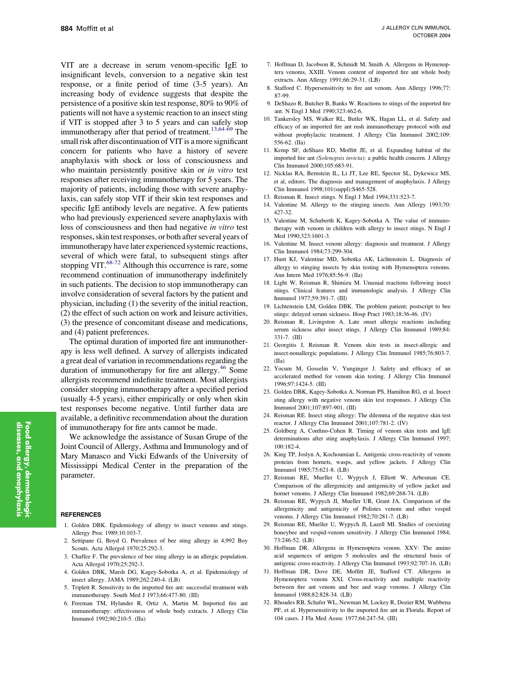<span id="page-15-0"></span>VIT are a decrease in serum venom-specific IgE to insignificant levels, conversion to a negative skin test response, or a finite period of time (3-5 years). An increasing body of evidence suggests that despite the persistence of a positive skin test response, 80% to 90% of patients will not have a systemic reaction to an insect sting if VIT is stopped after 3 to 5 years and can safely stop immunotherapy after that period of treatment.<sup>13,64-69</sup> The small risk after discontinuation of VIT is a more significant concern for patients who have a history of severe anaphylaxis with shock or loss of consciousness and who maintain persistently positive skin or in vitro test responses after receiving immunotherapy for 5 years. The majority of patients, including those with severe anaphylaxis, can safely stop VIT if their skin test responses and specific IgE antibody levels are negative. A few patients who had previously experienced severe anaphylaxis with loss of consciousness and then had negative in vitro test responses, skin test responses, or both after several years of immunotherapy have later experienced systemic reactions, several of which were fatal, to subsequent stings after stopping VIT. $^{68-72}$  Although this occurrence is rare, some recommend continuation of immunotherapy indefinitely in such patients. The decision to stop immunotherapy can involve consideration of several factors by the patient and physician, including (1) the severity of the initial reaction, (2) the effect of such action on work and leisure activities, (3) the presence of concomitant disease and medications, and (4) patient preferences.

The optimal duration of imported fire ant immunotherapy is less well defined. A survey of allergists indicated a great deal of variation in recommendations regarding the duration of immunotherapy for fire ant allergy.<sup>[46](#page-16-0)</sup> Some allergists recommend indefinite treatment. Most allergists consider stopping immunotherapy after a specified period (usually 4-5 years), either empirically or only when skin test responses become negative. Until further data are available, a definitive recommendation about the duration of immunotherapy for fire ants cannot be made.

We acknowledge the assistance of Susan Grupe of the Joint Council of Allergy, Asthma and Immunology and of Mary Manasco and Vicki Edwards of the University of Mississippi Medical Center in the preparation of the parameter.

#### **REFERENCES**

- 1. Golden DBK. Epidemiology of allergy to insect venoms and stings. Allergy Proc 1989;10:103-7.
- 2. Settipane G, Boyd G. Prevalence of bee sting allergy in 4,992 Boy Scouts. Acta Allergol 1970;25:292-3.
- 3. Chaffee F. The prevalence of bee sting allergy in an allergic population. Acta Allergol 1970;25:292-3.
- 4. Golden DBK, Marsh DG, Kagey-Sobotka A, et al. Epidemiology of insect allergy. JAMA 1989;262:240-4. (LB)
- 5. Triplett R. Sensitivity to the imported fire ant: successful treatment with immunotherapy. South Med J 1973;66:477-80. (III)
- 6. Freeman TM, Hylander R, Ortiz A, Martin M. Imported fire ant immunotherapy: effectiveness of whole body extracts. J Allergy Clin Immunol 1992;90:210-5. (IIa)
- 7. Hoffman D, Jacobson R, Schmidt M, Smith A. Allergens in Hymenoptera venoms, XXIII. Venom content of imported fire ant whole body extracts. Ann Allergy 1991;66:29-31. (LB)
- 8. Stafford C. Hypersensitivity to fire ant venom. Ann Allergy 1996;77: 87-99.
- 9. DeShazo R, Butcher B, Banks W. Reactions to stings of the imported fire ant. N Engl J Med 1990;323:462-6.
- 10. Tankersley MS, Walker RL, Butler WK, Hagan LL, et al. Safety and efficacy of an imported fire ant rush immunotherapy protocol with and without prophylactic treatment. J Allergy Clin Immunol 2002;109: 556-62. (IIa)
- 11. Kemp SF, deShazo RD, Moffitt JE, et al. Expanding habitat of the imported fire ant (Solenopsis invicta): a public health concern. J Allergy Clin Immunol 2000;105:683-91.
- 12. Nicklas RA, Bernstein IL, Li JT, Lee RE, Spector SL, Dykewicz MS, et al, editors. The diagnosis and management of anaphylaxis. J Allergy Clin Immunol 1998;101(suppl):S465-528.
- 13. Reisman R. Insect stings. N Engl J Med 1994;331:523-7.
- 14. Valentine M. Allergy to the stinging insects. Ann Allergy 1993;70: 427-32.
- 15. Valentine M, Schuberth K, Kagey-Sobotka A. The value of immunotherapy with venom in children with allergy to insect stings. N Engl J Med 1990;323:1601-3.
- 16. Valentine M. Insect venom allergy: diagnosis and treatment. J Allergy Clin Immunol 1984;73:299-304.
- 17. Hunt KJ, Valentine MD, Sobotka AK, Lichtenstein L. Diagnosis of allergy to stinging insects by skin testing with Hymenoptera venoms. Ann Intern Med 1976;85:56-9. (IIa)
- 18. Light W, Reisman R, Shimizu M. Unusual reactions following insect stings. Clinical features and immunologic analysis. J Allergy Clin Immunol 1977;59:391-7. (III)
- 19. Lichtenstein LM, Golden DBK. The problem patient; postscript to bee stings: delayed serum sickness. Hosp Pract 1983;18:36-46. (IV)
- 20. Reisman R, Livingston A. Late onset allergic reactions including serum sickness after insect stings. J Allergy Clin Immunol 1989;84: 331-7. (III)
- 21. Georgitis J, Reisman R. Venom skin tests in insect-allergic and insect-nonallergic populations. J Allergy Clin Immunol 1985;76:803-7. (IIa)
- 22. Yocum M, Gosselin V, Yunginger J. Safety and efficacy of an accelerated method for venom skin testing. J Allergy Clin Immunol 1996;97:1424-5. (III)
- 23. Golden DBK, Kagey-Sobotka A, Norman PS, Hamilton RG, et al. Insect sting allergy with negative venom skin test responses. J Allergy Clin Immunol 2001;107:897-901. (III)
- 24. Reisman RE. Insect sting allergy: The dilemma of the negative skin test reactor. J Allergy Clin Immunol 2001;107:781-2. (IV)
- 25. Goldberg A, Confino-Cohen R. Timing of venom skin tests and IgE determinations after sting anaphylaxis. J Allergy Clin Immunol 1997; 100:182-4.
- 26. King TP, Joslyn A, Kochoumian L. Antigenic cross-reactivity of venom proteins from hornets, wasps, and yellow jackets. J Allergy Clin Immunol 1985;75:621-8. (LB)
- 27. Reisman RE, Mueller U, Wypych J, Elliott W, Arbesman CE. Comparison of the allergenicity and antigenicity of yellow jacket and hornet venoms. J Allergy Clin Immunol 1982;69:268-74. (LB)
- 28. Reisman RE, Wypych JI, Mueller UR, Grant JA. Comparison of the allergenicity and antigenicity of Polistes venom and other vespid venoms. J Allergy Clin Immunol 1982;70:281-7. (LB)
- 29. Reisman RE, Mueller U, Wypych JI, Lazell MI. Studies of coexisting honeybee and vespid-venom sensitivity. J Allergy Clin Immunol 1984; 73:246-52. (LB)
- 30. Hoffman DR. Allergens in Hymenoptera venom. XXV: The amino acid sequences of antigen 5 molecules and the structural basis of antigenic cross-reactivity. J Allergy Clin Immunol 1993;92:707-16. (LB)
- 31. Hoffman DR, Dove DE, Moffitt JE, Stafford CT. Allergens in Hymenoptera venom XXI. Cross-reactivity and multiple reactivity between fire ant venom and bee and wasp venoms. J Allergy Clin Immunol 1988;82:828-34. (LB)
- 32. Rhoades RB, Schafer WL, Newman M, Lockey R, Dozier RM, Wubbena PF, et al. Hypersensitivity to the imported fire ant in Florida. Report of 104 cases. J Fla Med Assoc 1977;64:247-54. (III)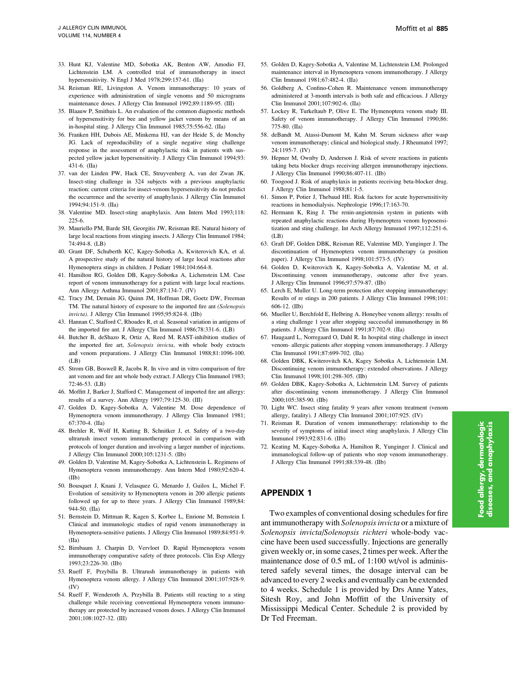- <span id="page-16-0"></span>33. Hunt KJ, Valentine MD, Sobotka AK, Benton AW, Amodio FJ, Lichtenstein LM. A controlled trial of immunotherapy in insect hypersensitivity. N Engl J Med 1978;299:157-61. (IIa)
- 34. Reisman RE, Livingston A. Venom immunotherapy: 10 years of experience with administration of single venoms and 50 micrograms maintenance doses. J Allergy Clin Immunol 1992;89:1189-95. (III)
- 35. Blaauw P, Smithuis L. An evaluation of the common diagnostic methods of hypersensitivity for bee and yellow jacket venom by means of an in-hospital sting. J Allergy Clin Immunol 1985;75:556-62. (IIa)
- 36. Franken HH, Dubois AE, Minkema HJ, van der Heide S, de Monchy JG. Lack of reproducibility of a single negative sting challenge response in the assessment of anaphylactic risk in patients with suspected yellow jacket hypersensitivity. J Allergy Clin Immunol 1994;93: 431-6. (IIa)
- 37. van der Linden PW, Hack CE, Struyvenberg A, van der Zwan JK. Insect-sting challenge in 324 subjects with a previous anaphylactic reaction: current criteria for insect-venom hypersensitivity do not predict the occurrence and the severity of anaphylaxis. J Allergy Clin Immunol 1994;94:151-9. (IIa)
- 38. Valentine MD. Insect-sting anaphylaxis. Ann Intern Med 1993;118: 225-6.
- 39. Mauriello PM, Barde SH, Georgitis JW, Reisman RE. Natural history of large local reactions from stinging insects. J Allergy Clin Immunol 1984; 74:494-8. (LB)
- 40. Grant DF, Schuberth KC, Kagey-Sobotka A, Kwiterovich KA, et al. A prospective study of the natural history of large local reactions after Hymenoptera stings in children. J Pediatr 1984;104:664-8.
- 41. Hamilton RG, Golden DB, Kagey-Sobotka A, Lichenstein LM. Case report of venom immunotherapy for a patient with large local reactions. Ann Allergy Asthma Immunol 2001;87:134-7. (IV)
- 42. Tracy JM, Demain JG, Quinn JM, Hoffman DR, Goetz DW, Freeman TM. The natural history of exposure to the imported fire ant (Solenopsis invicta). J Allergy Clin Immunol 1995;95:824-8. (IIb)
- 43. Hannan C, Stafford C, Rhoades R, et al. Seasonal variation in antigens of the imported fire ant. J Allergy Clin Immunol 1986;78:331-6. (LB)
- 44. Butcher B, deShazo R, Ortiz A, Reed M. RAST-inhibition studies of the imported fire art, Solenopsis invicta, with whole body extracts and venom preparations. J Allergy Clin Immunol 1988;81:1096-100.  $(LB)$
- 45. Strom GB, Boswell R, Jacobs R. In vivo and in vitro comparison of fire ant venom and fire ant whole body extract. J Allergy Clin Immunol 1983; 72:46-53. (LB)
- 46. Moffitt J, Barker J, Stafford C. Management of imported fire ant allergy: results of a survey. Ann Allergy 1997;79:125-30. (III)
- 47. Golden D, Kagey-Sobotka A, Valentine M. Dose dependence of Hymenoptera venom immunotherapy. J Allergy Clin Immunol 1981; 67:370-4. (IIa)
- 48. Brehler R, Wolf H, Kutting B, Schnitker J, et. Safety of a two-day ultrarush insect venom immunotherapy protocol in comparison with protocols of longer duration and involving a larger number of injections. J Allergy Clin Immunol 2000;105:1231-5. (IIb)
- 49. Golden D, Valentine M, Kagey-Sobotka A, Lichtenstein L. Regimens of Hymenoptera venom immunotherapy. Ann Intern Med 1980;92:620-4. (IIb)
- 50. Bousquet J, Knani J, Velasquez G, Menardo J, Guilox L, Michel F. Evolution of sensitivity to Hymenoptera venom in 200 allergic patients followed up for up to three years. J Allergy Clin Immunol 1989;84: 944-50. (IIa)
- 51. Bernstein D, Mittman R, Kagen S, Korbee L, Enrione M, Bernstein I. Clinical and immunologic studies of rapid venom immunotherapy in Hymenoptera-sensitive patients. J Allergy Clin Immunol 1989;84:951-9. (IIa)
- 52. Birnbaum J, Charpin D, Vervloet D. Rapid Hymenoptera venom immunotherapy comparative safety of three protocols. Clin Exp Allergy 1993;23:226-30. (IIb)
- 53. Rueff F, Przybilla B. Ultrarush immunotherapy in patients with Hymenoptera venom allergy. J Allergy Clin Immunol 2001;107:928-9. (IV)
- 54. Rueff F, Wenderoth A, Przybilla B. Patients still reacting to a sting challenge while receiving conventional Hymenoptera venom immunotherapy are protected by increased venom doses. J Allergy Clin Immunol 2001;108:1027-32. (III)
- 55. Golden D, Kagey-Sobotka A, Valentine M, Lichtenstein LM. Prolonged maintenance interval in Hymenoptera venom immunotherapy. J Allergy Clin Immunol 1981;67:482-4. (IIa)
- 56. Goldberg A, Confino-Cohen R. Maintenance venom immunotherapy administered at 3-month intervals is both safe and efficacious. J Allergy Clin Immunol 2001;107:902-6. (IIa)
- 57. Lockey R, Turkeltaub P, Olive E. The Hymenoptera venom study III. Safety of venom immunotherapy. J Allergy Clin Immunol 1990;86: 775-80. (IIa)
- 58. deBandt M, Atassi-Dumont M, Kahn M. Serum sickness after wasp venom immunotherapy; clinical and biological study. J Rheumatol 1997; 24:1195-7. (IV)
- 59. Hepner M, Ownby D, Anderson J. Risk of severe reactions in patients taking beta blocker drugs receiving allergen immunotherapy injections. J Allergy Clin Immunol 1990;86:407-11. (IIb)
- 60. Toogood J. Risk of anaphylaxis in patients receiving beta-blocker drug. J Allergy Clin Immunol 1988;81:1-5.
- 61. Simon P, Potier J, Thebaud HE. Risk factors for acute hypersensitivity reactions in hemodialysis. Nephrologie 1996;17:163-70.
- 62. Hermann K, Ring J. The renin-angiotensin system in patients with repeated anaphylactic reactions during Hymenoptera venom hyposensitization and sting challenge. Int Arch Allergy Immunol 1997;112:251-6. (LB)
- 63. Graft DF, Golden DBK, Reisman RE, Valentine MD, Yunginger J. The discontinuation of Hymenoptera venom immunotherapy (a position paper). J Allergy Clin Immunol 1998;101:573-5. (IV)
- 64. Golden D, Kwiterovich K, Kagey-Sobotka A, Valentine M, et al. Discontinuing venom immunotherapy, outcome after five years. J Allergy Clin Immunol 1996;97:579-87. (IIb)
- 65. Lerch E, Muller U. Long-term protection after stopping immunotherapy: Results of re stings in 200 patients. J Allergy Clin Immunol 1998;101: 606-12. (IIb)
- 66. Mueller U, Berchfold E, Helbring A. Honeybee venom allergy: results of a sting challenge 1 year after stopping successful immunotherapy in 86 patients. J Allergy Clin Immunol 1991;87:702-9. (IIa)
- 67. Haugaard L, Norregaard O, Dahl R. In hospital sting challenge in insect venom- allergic patients after stopping venom immunotherapy. J Allergy Clin Immunol 1991;87:699-702. (IIa)
- 68. Golden DBK, Kwiterovitch KA, Kagey Sobotka A, Lichtenstein LM. Discontinuing venom immunotherapy: extended observations. J Allergy Clin Immunol 1998;101:298-305. (IIb)
- 69. Golden DBK, Kagey-Sobotka A, Lichtenstein LM. Survey of patients after discontinuing venom immunotherapy. J Allergy Clin Immunol 2000;105:385-90. (IIb)
- 70. Light WC. Insect sting fatality 9 years after venom treatment (venom allergy, fatality). J Allergy Clin Immunol 2001;107:925. (IV)
- 71. Reisman R. Duration of venom immunotherapy: relationship to the severity of symptoms of initial insect sting anaphylaxis. J Allergy Clin Immunol 1993;92:831-6. (IIb)
- 72. Keating M, Kagey-Sobotka A, Hamilton R, Yunginger J. Clinical and immunological follow-up of patients who stop venom immunotherapy. J Allergy Clin Immunol 1991;88:339-48. (IIb)

## APPENDIX 1

Two examples of conventional dosing schedules for fire ant immunotherapy with Solenopsis invicta or a mixture of Solenopsis invicta/Solenopsis richteri whole-body vaccine have been used successfully. Injections are generally given weekly or, in some cases, 2 times per week. After the maintenance dose of 0.5 mL of 1:100 wt/vol is administered safely several times, the dosage interval can be advanced to every 2 weeks and eventually can be extended to 4 weeks. Schedule 1 is provided by Drs Anne Yates, Sitesh Roy, and John Moffitt of the University of Mississippi Medical Center. Schedule 2 is provided by Dr Ted Freeman.